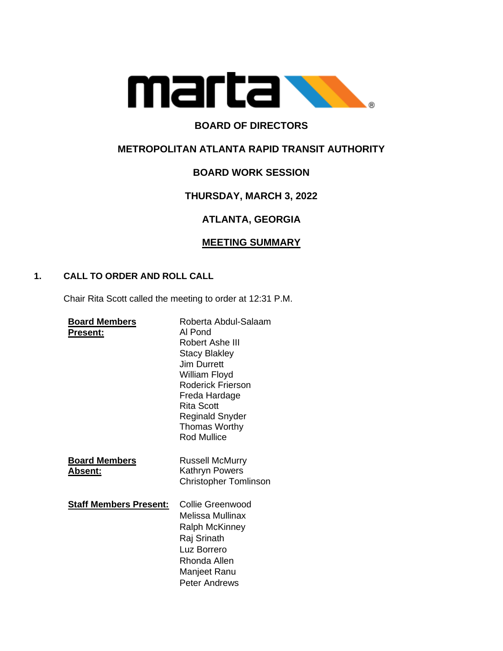

## **BOARD OF DIRECTORS**

## **METROPOLITAN ATLANTA RAPID TRANSIT AUTHORITY**

## **BOARD WORK SESSION**

## **THURSDAY, MARCH 3, 2022**

# **ATLANTA, GEORGIA**

### **MEETING SUMMARY**

#### **1. CALL TO ORDER AND ROLL CALL**

Chair Rita Scott called the meeting to order at 12:31 P.M.

| <b>Board Members</b><br>Present:       | Roberta Abdul-Salaam<br>Al Pond<br>Robert Ashe III<br><b>Stacy Blakley</b><br><b>Jim Durrett</b><br>William Floyd<br>Roderick Frierson<br>Freda Hardage<br>Rita Scott<br><b>Reginald Snyder</b><br>Thomas Worthy<br><b>Rod Mullice</b> |
|----------------------------------------|----------------------------------------------------------------------------------------------------------------------------------------------------------------------------------------------------------------------------------------|
| <b>Board Members</b><br><b>Absent:</b> | Russell McMurry<br>Kathryn Powers<br><b>Christopher Tomlinson</b>                                                                                                                                                                      |
| <b>Staff Members Present:</b>          | Collie Greenwood<br>Melissa Mullinax<br><b>Ralph McKinney</b><br>Raj Srinath<br>Luz Borrero<br>Rhonda Allen<br>Manjeet Ranu<br><b>Peter Andrews</b>                                                                                    |